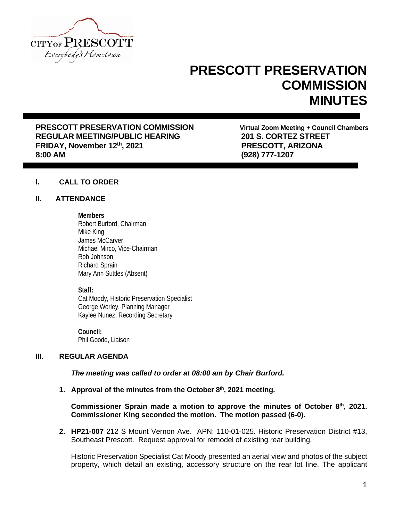

# **PRESCOTT PRESERVATION COMMISSION MINUTES**

**PRESCOTT PRESERVATION COMMISSION**<br>
REGULAR MEETING/PUBLIC HEARING<br>
201 S. CORTEZ STREET REGULAR MEETING/PUBLIC HEARING **201 S. CORTEZ STREE**<br>FRIDAY, November 12<sup>th</sup>, 2021 **1998 12th East PRESCOTT, ARIZONA FRIDAY, November 12th, 2021 8:00 AM (928) 777-1207**

## **I. CALL TO ORDER**

## **II. ATTENDANCE**

#### **Members**

Robert Burford, Chairman Mike King James McCarver Michael Mirco, Vice-Chairman Rob Johnson Richard Sprain Mary Ann Suttles (Absent)

## **Staff:**

Cat Moody, Historic Preservation Specialist George Worley, Planning Manager Kaylee Nunez, Recording Secretary

**Council:** Phil Goode, Liaison

# **III. REGULAR AGENDA**

*The meeting was called to order at 08:00 am by Chair Burford.*

**1. Approval of the minutes from the October 8th, 2021 meeting.**

# **Commissioner Sprain made a motion to approve the minutes of October 8th, 2021. Commissioner King seconded the motion. The motion passed (6-0).**

**2. HP21-007** 212 S Mount Vernon Ave. APN: 110-01-025. Historic Preservation District #13, Southeast Prescott. Request approval for remodel of existing rear building.

Historic Preservation Specialist Cat Moody presented an aerial view and photos of the subject property, which detail an existing, accessory structure on the rear lot line. The applicant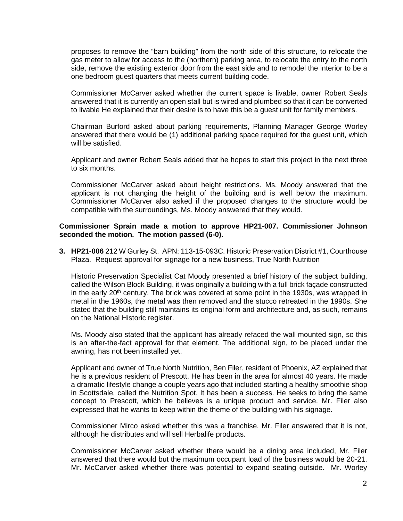proposes to remove the "barn building" from the north side of this structure, to relocate the gas meter to allow for access to the (northern) parking area, to relocate the entry to the north side, remove the existing exterior door from the east side and to remodel the interior to be a one bedroom guest quarters that meets current building code.

Commissioner McCarver asked whether the current space is livable, owner Robert Seals answered that it is currently an open stall but is wired and plumbed so that it can be converted to livable He explained that their desire is to have this be a guest unit for family members.

Chairman Burford asked about parking requirements, Planning Manager George Worley answered that there would be (1) additional parking space required for the guest unit, which will be satisfied.

Applicant and owner Robert Seals added that he hopes to start this project in the next three to six months.

Commissioner McCarver asked about height restrictions. Ms. Moody answered that the applicant is not changing the height of the building and is well below the maximum. Commissioner McCarver also asked if the proposed changes to the structure would be compatible with the surroundings, Ms. Moody answered that they would.

#### **Commissioner Sprain made a motion to approve HP21-007. Commissioner Johnson seconded the motion. The motion passed (6-0).**

**3. HP21-006** 212 W Gurley St. APN: 113-15-093C. Historic Preservation District #1, Courthouse Plaza. Request approval for signage for a new business, True North Nutrition

Historic Preservation Specialist Cat Moody presented a brief history of the subject building, called the Wilson Block Building, it was originally a building with a full brick façade constructed in the early 20<sup>th</sup> century. The brick was covered at some point in the 1930s, was wrapped in metal in the 1960s, the metal was then removed and the stucco retreated in the 1990s. She stated that the building still maintains its original form and architecture and, as such, remains on the National Historic register.

Ms. Moody also stated that the applicant has already refaced the wall mounted sign, so this is an after-the-fact approval for that element. The additional sign, to be placed under the awning, has not been installed yet.

Applicant and owner of True North Nutrition, Ben Filer, resident of Phoenix, AZ explained that he is a previous resident of Prescott. He has been in the area for almost 40 years. He made a dramatic lifestyle change a couple years ago that included starting a healthy smoothie shop in Scottsdale, called the Nutrition Spot. It has been a success. He seeks to bring the same concept to Prescott, which he believes is a unique product and service. Mr. Filer also expressed that he wants to keep within the theme of the building with his signage.

Commissioner Mirco asked whether this was a franchise. Mr. Filer answered that it is not, although he distributes and will sell Herbalife products.

Commissioner McCarver asked whether there would be a dining area included, Mr. Filer answered that there would but the maximum occupant load of the business would be 20-21. Mr. McCarver asked whether there was potential to expand seating outside. Mr. Worley